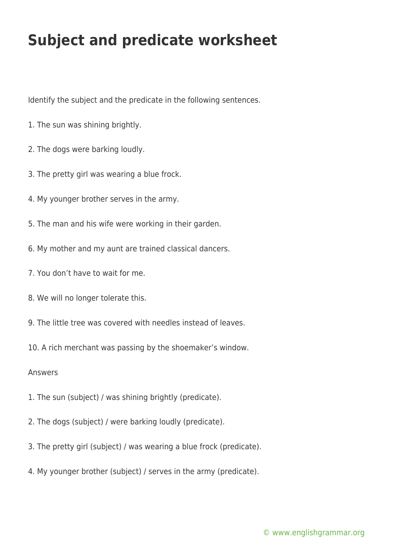## **Subject and predicate worksheet**

Identify the subject and the predicate in the following sentences.

- 1. The sun was shining brightly.
- 2. The dogs were barking loudly.
- 3. The pretty girl was wearing a blue frock.
- 4. My younger brother serves in the army.
- 5. The man and his wife were working in their garden.
- 6. My mother and my aunt are trained classical dancers.
- 7. You don't have to wait for me.
- 8. We will no longer tolerate this.
- 9. The little tree was covered with needles instead of leaves.
- 10. A rich merchant was passing by the shoemaker's window.

Answers

- 1. The sun (subject) / was shining brightly (predicate).
- 2. The dogs (subject) / were barking loudly (predicate).
- 3. The pretty girl (subject) / was wearing a blue frock (predicate).
- 4. My younger brother (subject) / serves in the army (predicate).